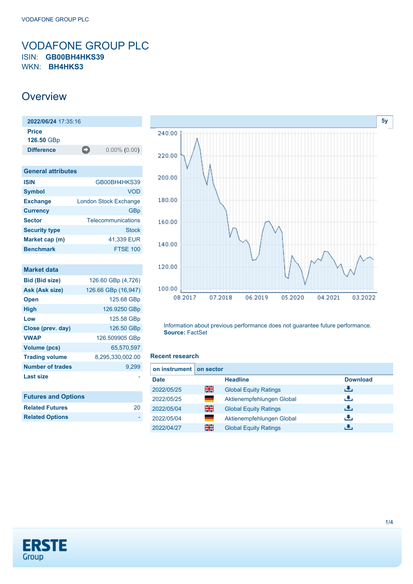### <span id="page-0-0"></span>VODAFONE GROUP PLC ISIN: **GB00BH4HKS39** WKN: **BH4HKS3**

### **Overview**

| 2022/06/24 17:35:16        |    |                 |
|----------------------------|----|-----------------|
| <b>Price</b><br>126.50 GBp |    |                 |
| <b>Difference</b>          | -0 | $0.00\%$ (0.00) |
|                            |    |                 |

| <b>General attributes</b> |                              |  |
|---------------------------|------------------------------|--|
| <b>ISIN</b>               | GB00BH4HKS39                 |  |
| <b>Symbol</b>             | VOD                          |  |
| <b>Exchange</b>           | <b>London Stock Exchange</b> |  |
| <b>Currency</b>           | GBp                          |  |
| <b>Sector</b>             | Telecommunications           |  |
| <b>Security type</b>      | Stock                        |  |
| Market cap (m)            | 41.339 EUR                   |  |
| <b>Benchmark</b>          | <b>FTSE 100</b>              |  |

| <b>Market data</b>         |                     |
|----------------------------|---------------------|
| <b>Bid (Bid size)</b>      | 126.60 GBp (4,726)  |
| Ask (Ask size)             | 126.66 GBp (16,947) |
| <b>Open</b>                | 125.68 GBp          |
| High                       | 126.9250 GBp        |
| Low                        | 125.58 GBp          |
| Close (prev. day)          | 126.50 GBp          |
| <b>VWAP</b>                | 126.509905 GBp      |
| <b>Volume (pcs)</b>        | 65.570.597          |
| <b>Trading volume</b>      | 8,295,330,002.00    |
| <b>Number of trades</b>    | 9,299               |
| Last size                  |                     |
|                            |                     |
| <b>Futures and Options</b> |                     |
| Related Futures            | 20                  |



Information about previous performance does not guarantee future performance. **Source:** FactSet

### **Recent research**

| on instrument on sector |     |                              |                 |
|-------------------------|-----|------------------------------|-----------------|
| <b>Date</b>             |     | <b>Headline</b>              | <b>Download</b> |
| 2022/05/25              | 을중  | <b>Global Equity Ratings</b> | æ,              |
| 2022/05/25              | a a | Aktienempfehlungen Global    | υ.              |
| 2022/05/04              | 을중  | <b>Global Equity Ratings</b> | æ,              |
| 2022/05/04              | ۰   | Aktienempfehlungen Global    | υ.              |
| 2022/04/27              | 을중  | <b>Global Equity Ratings</b> |                 |



**Related Options**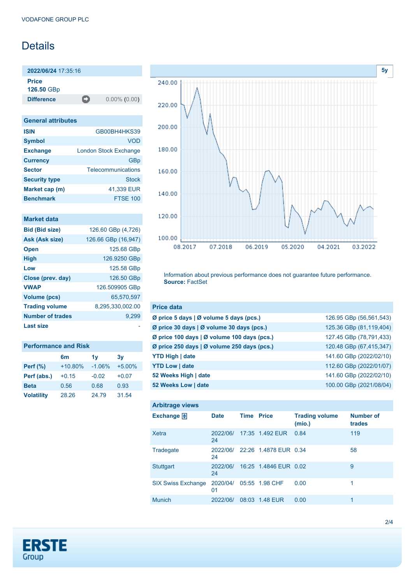# **Details**

**2022/06/24** 17:35:16 **Price**

**126.50** GBp

**Difference** 0.00% (0.00)

| <b>General attributes</b> |                              |  |
|---------------------------|------------------------------|--|
| <b>ISIN</b>               | GB00BH4HKS39                 |  |
| <b>Symbol</b>             | VOD                          |  |
| <b>Exchange</b>           | <b>London Stock Exchange</b> |  |
| <b>Currency</b>           | GBp                          |  |
| <b>Sector</b>             | Telecommunications           |  |
| <b>Security type</b>      | <b>Stock</b>                 |  |
| Market cap (m)            | 41,339 EUR                   |  |
| <b>Benchmark</b>          | <b>FTSE 100</b>              |  |

| <b>Market data</b>      |                     |
|-------------------------|---------------------|
| <b>Bid (Bid size)</b>   | 126.60 GBp (4,726)  |
| Ask (Ask size)          | 126.66 GBp (16,947) |
| <b>Open</b>             | 125.68 GBp          |
| <b>High</b>             | 126.9250 GBp        |
| Low                     | 125.58 GBp          |
| Close (prev. day)       | 126.50 GBp          |
| <b>VWAP</b>             | 126.509905 GBp      |
| Volume (pcs)            | 65,570,597          |
| <b>Trading volume</b>   | 8,295,330,002.00    |
| <b>Number of trades</b> | 9,299               |
| <b>Last size</b>        |                     |

| <b>Performance and Risk</b> |           |          |          |  |  |
|-----------------------------|-----------|----------|----------|--|--|
|                             | 6m        | 1v       | 3v       |  |  |
| <b>Perf</b> (%)             | $+10.80%$ | $-1.06%$ | $+5.00%$ |  |  |
| Perf (abs.)                 | $+0.15$   | $-0.02$  | $+0.07$  |  |  |
| <b>Beta</b>                 | 0.56      | 0.68     | 0.93     |  |  |
| <b>Volatility</b>           | 28.26     | 24.79    | 31.54    |  |  |



Information about previous performance does not guarantee future performance. **Source:** FactSet

| <b>Price data</b>                                     |                         |
|-------------------------------------------------------|-------------------------|
| Ø price 5 days $\vert \emptyset$ volume 5 days (pcs.) | 126.95 GBp (56,561,543) |
| Ø price 30 days   Ø volume 30 days (pcs.)             | 125.36 GBp (81,119,404) |
| Ø price 100 days   Ø volume 100 days (pcs.)           | 127.45 GBp (78,791,433) |
| Ø price 250 days   Ø volume 250 days (pcs.)           | 120.48 GBp (67,415,347) |
| <b>YTD High   date</b>                                | 141.60 GBp (2022/02/10) |
| <b>YTD Low   date</b>                                 | 112.60 GBp (2022/01/07) |
| 52 Weeks High   date                                  | 141.60 GBp (2022/02/10) |
| 52 Weeks Low   date                                   | 100.00 GBp (2021/08/04) |

| <b>Arbitrage views</b>    |                |                   |                       |                                 |                            |
|---------------------------|----------------|-------------------|-----------------------|---------------------------------|----------------------------|
| Exchange $\neq$           | <b>Date</b>    | <b>Time Price</b> |                       | <b>Trading volume</b><br>(mio.) | <b>Number of</b><br>trades |
| Xetra                     | 2022/06/<br>24 |                   | 17:35 1.492 EUR       | 0.84                            | 119                        |
| Tradegate                 | 2022/06/<br>24 |                   | 22:26 1.4878 EUR 0.34 |                                 | 58                         |
| <b>Stuttgart</b>          | 2022/06/<br>24 |                   | 16:25 1.4846 EUR 0.02 |                                 | 9                          |
| <b>SIX Swiss Exchange</b> | 2020/04/<br>01 |                   | 05:55 1.98 CHF        | 0.00                            | 1                          |
| <b>Munich</b>             | 2022/06/       | 08:03             | <b>1.48 EUR</b>       | 0.00                            | 1                          |

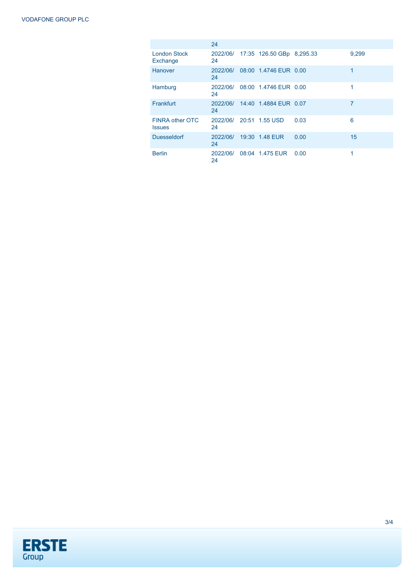|                                         | 24             |                           |      |       |
|-----------------------------------------|----------------|---------------------------|------|-------|
| <b>London Stock</b><br>Exchange         | 2022/06/<br>24 | 17:35 126.50 GBp 8,295.33 |      | 9,299 |
| Hanover                                 | 2022/06/<br>24 | 08:00 1.4746 EUR 0.00     |      | 1     |
| Hamburg                                 | 2022/06/<br>24 | 08:00 1.4746 EUR 0.00     |      | 1     |
| Frankfurt                               | 2022/06/<br>24 | 14:40 1.4884 EUR 0.07     |      | 7     |
| <b>FINRA other OTC</b><br><b>Issues</b> | 24             | 2022/06/ 20:51 1.55 USD   | 0.03 | 6     |
| <b>Duesseldorf</b>                      | 2022/06/<br>24 | 19:30 1.48 EUR            | 0.00 | 15    |
| <b>Berlin</b>                           | 2022/06/<br>24 | 08:04 1.475 EUR           | 0.00 | 1     |